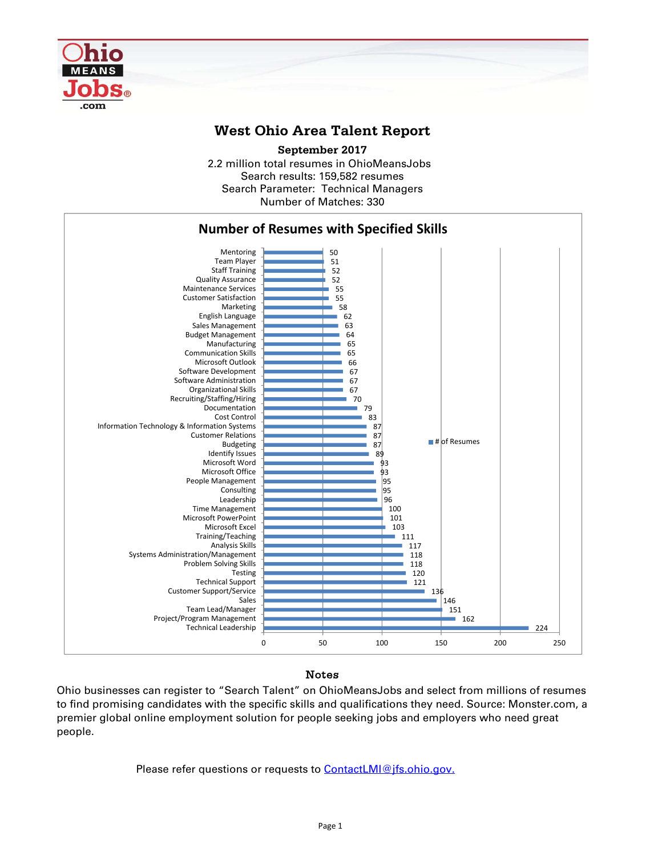

## **West Ohio Area Talent Report**

2.2 million total resumes in OhioMeansJobs Search results: 159,582 resumes Number of Matches: 330 **September 2017** Search Parameter: Technical Managers



## Notes

Ohio businesses can register to "Search Talent" on OhioMeansJobs and select from millions of resumes to find promising candidates with the specific skills and qualifications they need. Source: Monster.com, a premier global online employment solution for people seeking jobs and employers who need great people.

Please refer questions or requests to **ContactLMI@jfs.ohio.gov.**